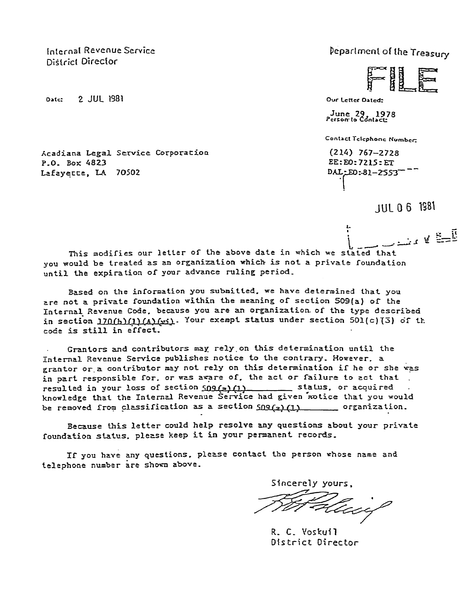Internal Revenue Service District Director

Date: 2 JUL 1981

Acadiana Legal Service Corporation P.O. Box 4823 Lafayette, LA 70502

Peparlment of the Treasury

Our Letter Dated:

June 29, 1978

**Contact Telephone Number:** 

 $(214) 767 - 2728$  $EE:EO: 7215: ET$ DAL:E0:81-2553

**JUL 0 6 1981** 

 $\frac{1}{2}$   $\frac{1}{2}$   $\frac{1}{2}$   $\frac{1}{2}$   $\frac{1}{2}$   $\frac{1}{2}$   $\frac{1}{2}$ This modifies our letter of the above date in which we stated that you would be treated as an organization which is not a private foundation until the expiration of your advance ruling period.

Based on the information you submitted, we have determined that you are not a private foundation within the meaning of section 509(a) of the Internal Revenue Code, because you are an organization of the type described in section 170(b)(1)(A)(wi). Your exempt status under section 501(c)(3) of th code is still in effect.

Grantors and contributors may rely on this determination until the Internal Revenue Service publishes notice to the contrary. However, a grantor or a contributor may not rely on this determination if he or she was in part responsible for, or was aware of, the act or failure to act that resulted in your loss of section 509(2)(1) \_\_\_\_\_\_\_\_\_ status, or acquired knowledge that the Internal Revenue Service had given notice that you would be removed from classification as a section  $SD9(z)$  (1) organization.

Because this letter could help resolve any questions about your private foundation status, please keep it in your permanent records.

If you have any questions, please contact the person whose name and telephone number are shown above.

Sincerely yours.

R. C. Voskuil District Director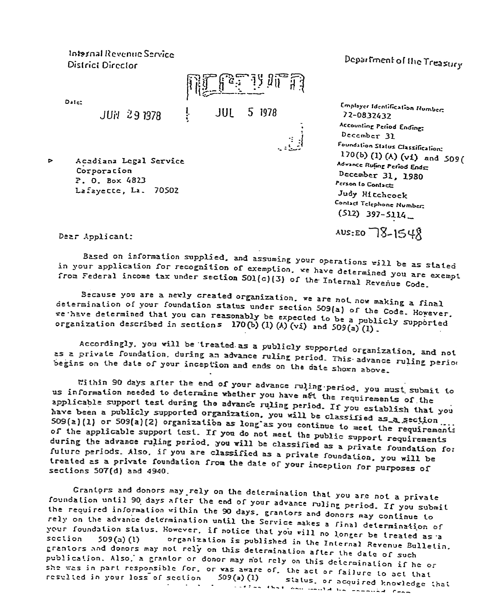Internal Revenue Service District Director

Date:

**JUN 29 1978** 

Acadiana Legal Service  $\triangleright$ Corporation P. O. Box 4823 Lafayette, La. 70502

Department of the Treasury

**Employer Identification Numbers** 72-0832432 Accounting Period Ending: December 31 Foundation Status Classification: 170(b) (1) (A) (vi) and 509( Advance Rufing Period Ende December 31, 1980 Person to Contact: Judy Hitchcock Contact Telephone Number:  $(512)$  397-5114

AUS: EO 78-1548

Dear Applicant:

Based on information supplied, and assuming your operations will be as stated in your application for recognition of exemption, we have determined you are exempt from Federal income tax under section SO1(c)(3) of the Internal Revenue Code.

**JUL** 

5 1978

 $\frac{1}{\sqrt{2}}$ 

Because you are a newly created organization, we are not now making a final determination of your foundation status under section 509(a) of the Code. However. re have determined that you can reasonably be expected to be a publicly supported organization described in sections 170(b) (1) (A) (vi) and  $509(a)(1)$ .

Accordingly, you will be treated as a publicly supported organization, and not as a private foundation, during an advance ruling period. This advance ruling period begins on the date of your inception and ends on the date shown above.

Within 90 days after the end of your advance ruling period. you must submit to us information needed to determine whether you have met the requirements of the applicable support test during the advance ruling period. If you establish that you have been a publicly supported organization. you will be classified as a section SO9(2)(1) or SO9(a)(2) organization as long as you continue to meet the requirements of the applicable support test. If you do not meet the public support requirements during the advance ruling period, you will be classified as a private foundation for future periods. Also, if you are classified as a private foundation, you will be treated as a private foundation from the date of your inception for purposes of sections 507(d) and 4940.

Crantors and donors may rely on the determination that you are not a private foundation until 90 days after the end of your advance ruling period. If you submit the required information within the 90 days, grantors and donors may continue to rely on the advance determination until the Service makes a final determination of your foundation status. However, if notice that you will no longer be treated as a organization is published in the Internal Revenue Bulletin. section  $509(a)(1)$ grantors and donors may not rely on this determination after the date of such publication. Also, a grantor or donor may not rely on this determination if he or .<br>she was in part responsible for, or was aware of, the act or failure to act that resulted in your loss of section  $509(a)$  (1) status, or acquired knowledge that insteam that one could be communied from